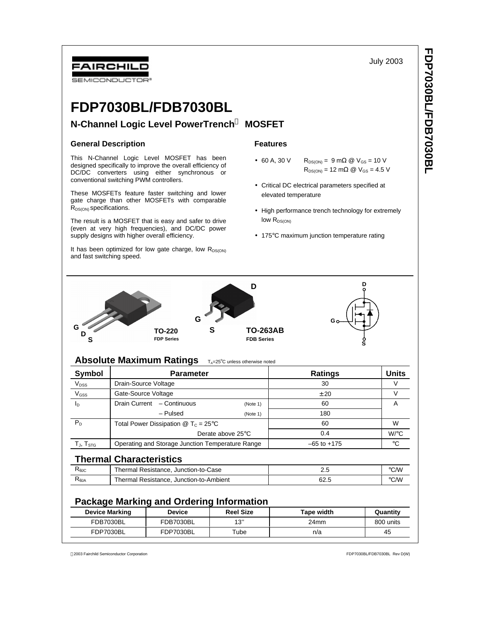July 2003



# **FDP7030BL/FDB7030BL**

# **N-Channel Logic Level PowerTrench<sup>Ò</sup> MOSFET**

## **General Description**

This N-Channel Logic Level MOSFET has been designed specifically to improve the overall efficiency of DC/DC converters using either synchronous or conventional switching PWM controllers.

These MOSFETs feature faster switching and lower gate charge than other MOSFETs with comparable  $R_{DS(ON)}$  specifications.

The result is a MOSFET that is easy and safer to drive (even at very high frequencies), and DC/DC power supply designs with higher overall efficiency.

It has been optimized for low gate charge, low  $R_{DS(ON)}$ and fast switching speed.

# **Features**

- 60 A, 30 V  $R_{DS(ON)} = 9 \text{ m}\Omega \text{ } \textcircled{ } V_{GS} = 10 \text{ V}$  $R_{DS(ON)} = 12 \text{ mA}$  @  $V_{GS} = 4.5 \text{ V}$
- Critical DC electrical parameters specified at elevated temperature
- High performance trench technology for extremely  $low R_{DS(ON)}$
- 175°C maximum junction temperature rating



# **Absolute Maximum Ratings TA=25°C unless otherwise noted**

| Symbol                               | <b>Parameter</b>                                                             |          | <b>Ratings</b>  | <b>Units</b> |
|--------------------------------------|------------------------------------------------------------------------------|----------|-----------------|--------------|
| V <sub>DSS</sub>                     | Drain-Source Voltage                                                         |          | 30              |              |
| V <sub>GSS</sub>                     | Gate-Source Voltage                                                          |          | ± 20            |              |
| Iр                                   | Drain Current - Continuous                                                   | (Note 1) | 60              | А            |
|                                      | - Pulsed                                                                     | (Note 1) | 180             |              |
| $P_D$                                | Total Power Dissipation $\textcircled{2}$ T <sub>c</sub> = 25 <sup>°</sup> C |          | 60              | W            |
|                                      | Derate above 25°C                                                            |          | 0.4             | $W$ / $C$    |
| $T_{\mathsf{J}},\, T_{\mathsf{STG}}$ | Operating and Storage Junction Temperature Range                             |          | $-65$ to $+175$ | °€           |

# **Thermal Characteristics**

| ιken  | Thermal Resistance, Junction-to-Case    | ے ۔  | °C/W |
|-------|-----------------------------------------|------|------|
| ιπeja | Thermal Resistance, Junction-to-Ambient | ش62. | °C∕W |

# **Package Marking and Ordering Information**

| <b>Device Marking</b> | <b>Device</b> | <b>Reel Size</b> | <b>Tape width</b> | Quantitv  |
|-----------------------|---------------|------------------|-------------------|-----------|
| FDB7030BL             | FDB7030BL     | 12"<br>◡         | 24mm              | 800 units |
| FDP7030BL             | FDP7030BL     | $\tau$ ube       | n/a               | 45        |

2003 Fairchild Semiconductor Corporation FDP7030BL/FDB7030BL Rev D(W)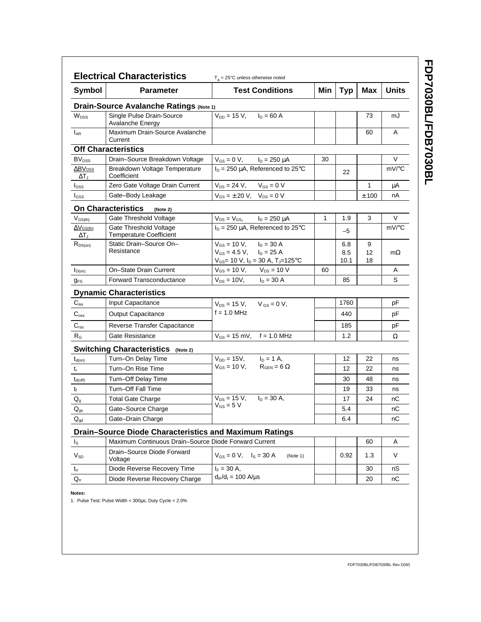| Symbol                                           | <b>Parameter</b>                                              | <b>Test Conditions</b>                                                                                                   | Min | <b>Typ</b>         | Max           | <b>Units</b> |
|--------------------------------------------------|---------------------------------------------------------------|--------------------------------------------------------------------------------------------------------------------------|-----|--------------------|---------------|--------------|
|                                                  |                                                               |                                                                                                                          |     |                    |               |              |
|                                                  | Drain-Source Avalanche Ratings (Note 1)                       |                                                                                                                          |     |                    |               |              |
| W <sub>DSS</sub>                                 | Single Pulse Drain-Source<br>Avalanche Energy                 | $V_{DD} = 15$ V, $I_D = 60$ A                                                                                            |     |                    | 73            | mJ           |
| $I_{AR}$                                         | Maximum Drain-Source Avalanche<br>Current                     |                                                                                                                          |     |                    | 60            | A            |
|                                                  | <b>Off Characteristics</b>                                    |                                                                                                                          |     |                    |               |              |
| BV <sub>DSS</sub>                                | Drain-Source Breakdown Voltage                                | $V_{GS} = 0 V$ , $I_D = 250 \mu A$                                                                                       | 30  |                    |               | V            |
| $\Delta$ BV <sub>DSS</sub><br>$\Delta T_{\rm J}$ | Breakdown Voltage Temperature<br>Coefficient                  | $I_D = 250 \mu A$ , Referenced to 25°C                                                                                   |     | 22                 |               | mV/°C        |
| $I_{DSS}$                                        | Zero Gate Voltage Drain Current                               | $V_{DS} = 24 V$ , $V_{GS} = 0 V$                                                                                         |     |                    | 1             | μA           |
| <b>I</b> GSS                                     | Gate-Body Leakage                                             | $V_{GS} = \pm 20 \text{ V}, V_{DS} = 0 \text{ V}$                                                                        |     |                    | ± 100         | nA           |
|                                                  | <b>On Characteristics</b><br>(Note 2)                         |                                                                                                                          |     |                    |               |              |
| $V_{GS(th)}$                                     | Gate Threshold Voltage                                        | $V_{DS} = V_{GS}$ , $I_D = 250 \mu A$                                                                                    | 1   | 1.9                | 3             | V            |
| $\Delta V$ GS(th)<br>$\Delta T_{\rm J}$          | Gate Threshold Voltage<br><b>Temperature Coefficient</b>      | $I_D = 250 \mu A$ , Referenced to 25°C                                                                                   |     | -5                 |               | mV/°C        |
| $R_{DS(on)}$                                     | Static Drain-Source On-<br>Resistance                         | $V_{GS}$ = 10 V, $I_D$ = 30 A<br>$V_{GS} = 4.5 V$ , $I_D = 25 A$<br>$V_{GS}$ = 10 V, $I_D$ = 30 A, T <sub>J</sub> =125°C |     | 6.8<br>8.5<br>10.1 | 9<br>12<br>18 | $m\Omega$    |
| $I_{D(on)}$                                      | On-State Drain Current                                        | $V_{GS} = 10 V$ , $V_{DS} = 10 V$                                                                                        | 60  |                    |               | A            |
| <b>g</b> <sub>FS</sub>                           | <b>Forward Transconductance</b>                               | $V_{DS} = 10V$ , $I_D = 30 A$                                                                                            |     | 85                 |               | S            |
|                                                  | <b>Dynamic Characteristics</b>                                |                                                                                                                          |     |                    |               |              |
| $C_{iss}$                                        | Input Capacitance                                             | $V_{DS} = 15 V$ , $V_{GS} = 0 V$ ,                                                                                       |     | 1760               |               | pF           |
| $C_{\rm oss}$                                    | <b>Output Capacitance</b>                                     | $f = 1.0$ MHz                                                                                                            |     | 440                |               | рF           |
| $C_{\text{rss}}$                                 | Reverse Transfer Capacitance                                  |                                                                                                                          |     | 185                |               | рF           |
| $R_G$                                            | Gate Resistance                                               | $V_{GS} = 15$ mV, f = 1.0 MHz                                                                                            |     | 1.2                |               | Ω            |
|                                                  | <b>Switching Characteristics</b><br>(Note 2)                  |                                                                                                                          |     |                    |               |              |
| $t_{d(on)}$                                      | Turn-On Delay Time                                            | $V_{DD} = 15V,$ $I_D = 1 A,$                                                                                             |     | 12                 | 22            | ns           |
| $t_{r}$                                          | Turn-On Rise Time                                             | $V_{GS} = 10 V$ , $R_{GEN} = 6 \Omega$                                                                                   |     | 12                 | 22            | ns           |
| $t_{d(off)}$                                     | Turn-Off Delay Time                                           |                                                                                                                          |     | 30                 | 48            | ns           |
| $t_{\rm f}$                                      | Turn-Off Fall Time                                            |                                                                                                                          |     | 19                 | 33            | ns           |
| $\mathsf{Q}_{\mathsf{g}}$                        | <b>Total Gate Charge</b>                                      | $V_{DS} = 15 V$ , $I_D = 30 A$ ,                                                                                         |     | 17                 | 24            | nС           |
| $\mathsf{Q}_{\text{gs}}$                         | Gate-Source Charge                                            | $V_{GS}$ = 5 V                                                                                                           |     | 5.4                |               | nC           |
| $Q_{\text{qd}}$                                  | Gate-Drain Charge                                             |                                                                                                                          |     | 6.4                |               | nС           |
|                                                  | <b>Drain-Source Diode Characteristics and Maximum Ratings</b> |                                                                                                                          |     |                    |               |              |
| $I_{\rm S}$                                      | Maximum Continuous Drain-Source Diode Forward Current         |                                                                                                                          |     |                    | 60            | Α            |
| $V_{SD}$                                         | Drain-Source Diode Forward<br>Voltage                         | $V_{GS} = 0 V$ , $I_S = 30 A$<br>(Note 1)                                                                                |     | 0.92               | 1.3           | V            |
| $t_{rr}$                                         | Diode Reverse Recovery Time                                   | $I_F = 30 A$ ,                                                                                                           |     |                    | 30            | nS           |
| $\mathsf{Q}_{\mathsf{rr}}$                       | Diode Reverse Recovery Charge                                 | $d_{iF}/d_{t} = 100$ A/µs                                                                                                |     |                    | 20            | nС           |

FDP7030BL/FDB7030BL **FDP7030BL/FDB7030BL**

1. Pulse Test: Pulse Width < 300μs, Duty Cycle < 2.0%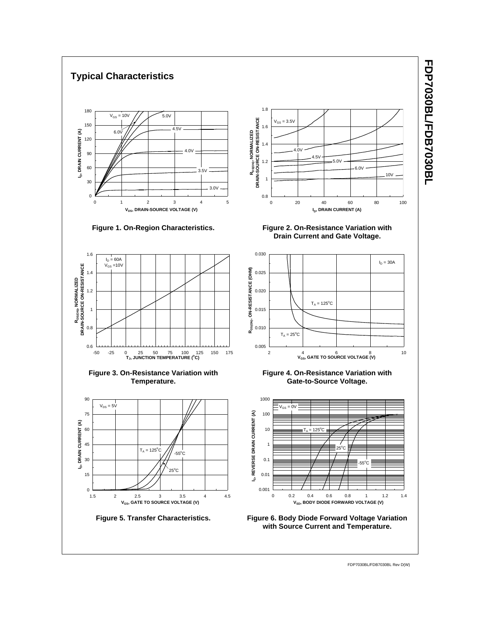

# **FDP7030BL/FDB7030BL FDP7030BL/FDB7030BL**

FDP7030BL/FDB7030BL Rev D(W)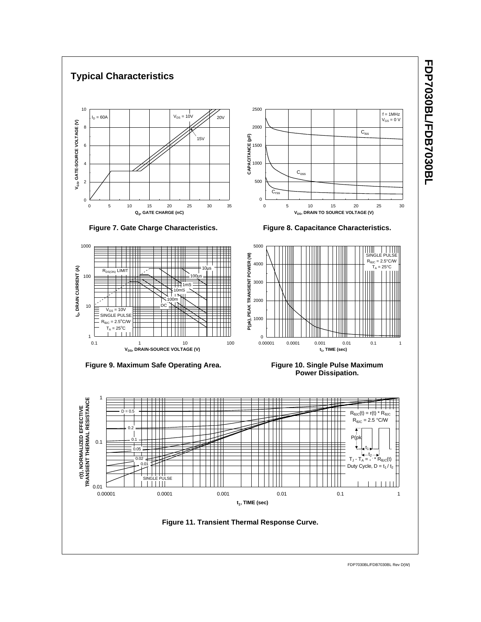

FDP7030BL/FDB7030BL Rev D(W)

FDP7030BL/FDB7030BL **FDP7030BL/FDB7030BL**